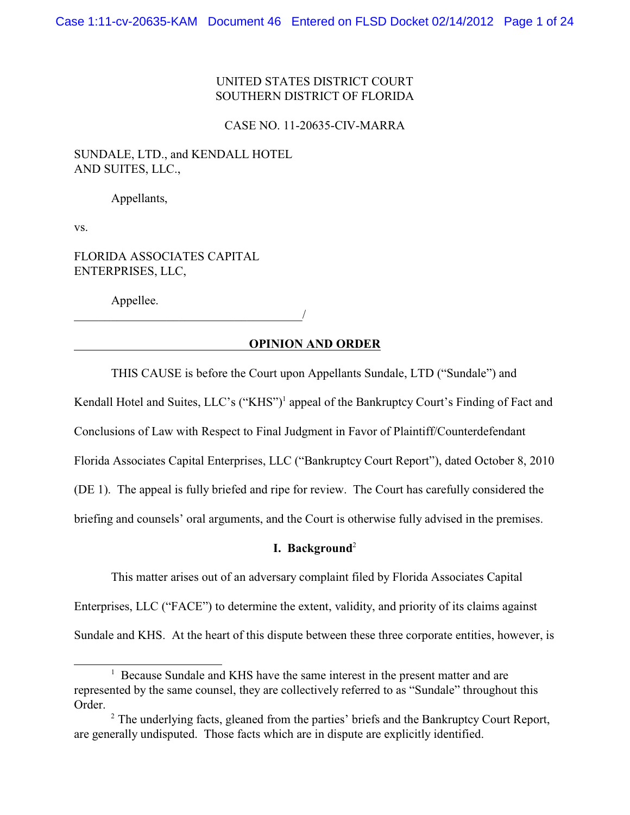## UNITED STATES DISTRICT COURT SOUTHERN DISTRICT OF FLORIDA

#### CASE NO. 11-20635-CIV-MARRA

# SUNDALE, LTD., and KENDALL HOTEL AND SUITES, LLC.,

Appellants,

vs.

## FLORIDA ASSOCIATES CAPITAL ENTERPRISES, LLC,

Appellee.

\_\_\_\_\_\_\_\_\_\_\_\_\_\_\_\_\_\_\_\_\_\_\_\_\_\_\_\_\_\_\_\_\_\_\_\_\_/

## **OPINION AND ORDER**

THIS CAUSE is before the Court upon Appellants Sundale, LTD ("Sundale") and

Kendall Hotel and Suites, LLC's ("KHS")<sup>1</sup> appeal of the Bankruptcy Court's Finding of Fact and

Conclusions of Law with Respect to Final Judgment in Favor of Plaintiff/Counterdefendant

Florida Associates Capital Enterprises, LLC ("Bankruptcy Court Report"), dated October 8, 2010

(DE 1). The appeal is fully briefed and ripe for review. The Court has carefully considered the

briefing and counsels' oral arguments, and the Court is otherwise fully advised in the premises.

## **I. Background**<sup>2</sup>

This matter arises out of an adversary complaint filed by Florida Associates Capital

Enterprises, LLC ("FACE") to determine the extent, validity, and priority of its claims against

Sundale and KHS. At the heart of this dispute between these three corporate entities, however, is

<sup>&</sup>lt;sup>1</sup> Because Sundale and KHS have the same interest in the present matter and are represented by the same counsel, they are collectively referred to as "Sundale" throughout this Order.

 $2$  The underlying facts, gleaned from the parties' briefs and the Bankruptcy Court Report, are generally undisputed. Those facts which are in dispute are explicitly identified.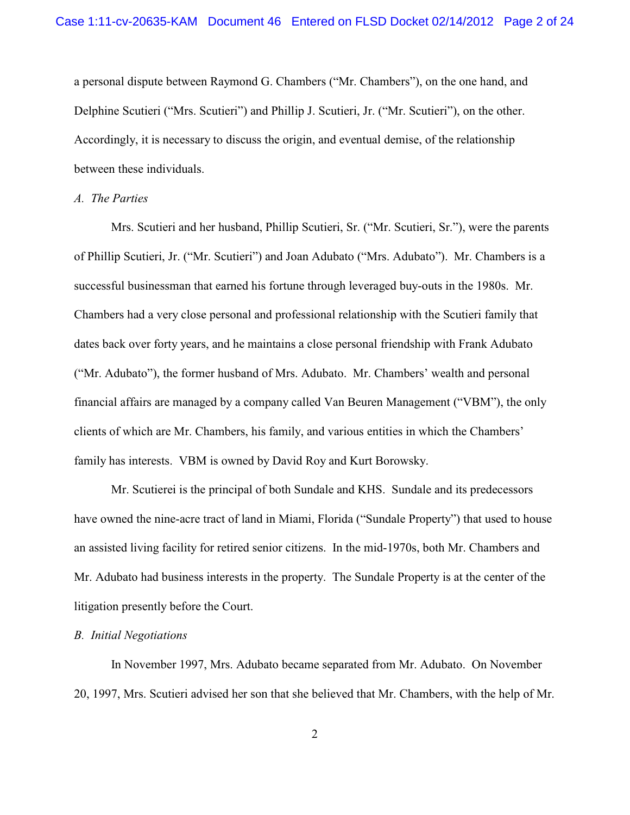a personal dispute between Raymond G. Chambers ("Mr. Chambers"), on the one hand, and Delphine Scutieri ("Mrs. Scutieri") and Phillip J. Scutieri, Jr. ("Mr. Scutieri"), on the other. Accordingly, it is necessary to discuss the origin, and eventual demise, of the relationship between these individuals.

### *A. The Parties*

Mrs. Scutieri and her husband, Phillip Scutieri, Sr. ("Mr. Scutieri, Sr."), were the parents of Phillip Scutieri, Jr. ("Mr. Scutieri") and Joan Adubato ("Mrs. Adubato"). Mr. Chambers is a successful businessman that earned his fortune through leveraged buy-outs in the 1980s. Mr. Chambers had a very close personal and professional relationship with the Scutieri family that dates back over forty years, and he maintains a close personal friendship with Frank Adubato ("Mr. Adubato"), the former husband of Mrs. Adubato. Mr. Chambers' wealth and personal financial affairs are managed by a company called Van Beuren Management ("VBM"), the only clients of which are Mr. Chambers, his family, and various entities in which the Chambers' family has interests. VBM is owned by David Roy and Kurt Borowsky.

Mr. Scutierei is the principal of both Sundale and KHS. Sundale and its predecessors have owned the nine-acre tract of land in Miami, Florida ("Sundale Property") that used to house an assisted living facility for retired senior citizens. In the mid-1970s, both Mr. Chambers and Mr. Adubato had business interests in the property. The Sundale Property is at the center of the litigation presently before the Court.

#### *B. Initial Negotiations*

In November 1997, Mrs. Adubato became separated from Mr. Adubato. On November 20, 1997, Mrs. Scutieri advised her son that she believed that Mr. Chambers, with the help of Mr.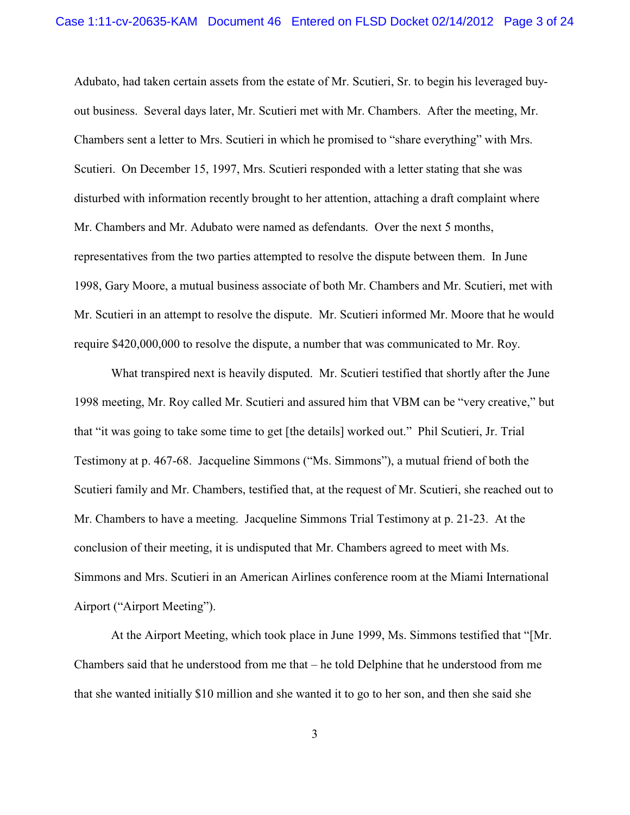Adubato, had taken certain assets from the estate of Mr. Scutieri, Sr. to begin his leveraged buyout business. Several days later, Mr. Scutieri met with Mr. Chambers. After the meeting, Mr. Chambers sent a letter to Mrs. Scutieri in which he promised to "share everything" with Mrs. Scutieri. On December 15, 1997, Mrs. Scutieri responded with a letter stating that she was disturbed with information recently brought to her attention, attaching a draft complaint where Mr. Chambers and Mr. Adubato were named as defendants. Over the next 5 months, representatives from the two parties attempted to resolve the dispute between them. In June 1998, Gary Moore, a mutual business associate of both Mr. Chambers and Mr. Scutieri, met with Mr. Scutieri in an attempt to resolve the dispute. Mr. Scutieri informed Mr. Moore that he would require \$420,000,000 to resolve the dispute, a number that was communicated to Mr. Roy.

What transpired next is heavily disputed. Mr. Scutieri testified that shortly after the June 1998 meeting, Mr. Roy called Mr. Scutieri and assured him that VBM can be "very creative," but that "it was going to take some time to get [the details] worked out." Phil Scutieri, Jr. Trial Testimony at p. 467-68. Jacqueline Simmons ("Ms. Simmons"), a mutual friend of both the Scutieri family and Mr. Chambers, testified that, at the request of Mr. Scutieri, she reached out to Mr. Chambers to have a meeting. Jacqueline Simmons Trial Testimony at p. 21-23. At the conclusion of their meeting, it is undisputed that Mr. Chambers agreed to meet with Ms. Simmons and Mrs. Scutieri in an American Airlines conference room at the Miami International Airport ("Airport Meeting").

At the Airport Meeting, which took place in June 1999, Ms. Simmons testified that "[Mr. Chambers said that he understood from me that – he told Delphine that he understood from me that she wanted initially \$10 million and she wanted it to go to her son, and then she said she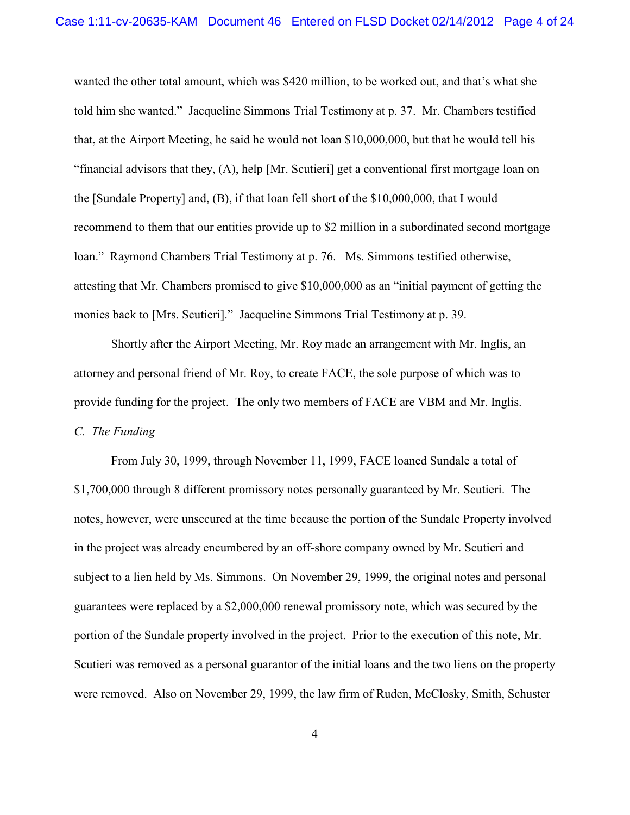wanted the other total amount, which was \$420 million, to be worked out, and that's what she told him she wanted." Jacqueline Simmons Trial Testimony at p. 37. Mr. Chambers testified that, at the Airport Meeting, he said he would not loan \$10,000,000, but that he would tell his "financial advisors that they, (A), help [Mr. Scutieri] get a conventional first mortgage loan on the [Sundale Property] and, (B), if that loan fell short of the \$10,000,000, that I would recommend to them that our entities provide up to \$2 million in a subordinated second mortgage loan." Raymond Chambers Trial Testimony at p. 76. Ms. Simmons testified otherwise, attesting that Mr. Chambers promised to give \$10,000,000 as an "initial payment of getting the monies back to [Mrs. Scutieri]." Jacqueline Simmons Trial Testimony at p. 39.

Shortly after the Airport Meeting, Mr. Roy made an arrangement with Mr. Inglis, an attorney and personal friend of Mr. Roy, to create FACE, the sole purpose of which was to provide funding for the project. The only two members of FACE are VBM and Mr. Inglis. *C. The Funding*

From July 30, 1999, through November 11, 1999, FACE loaned Sundale a total of \$1,700,000 through 8 different promissory notes personally guaranteed by Mr. Scutieri. The notes, however, were unsecured at the time because the portion of the Sundale Property involved in the project was already encumbered by an off-shore company owned by Mr. Scutieri and subject to a lien held by Ms. Simmons. On November 29, 1999, the original notes and personal guarantees were replaced by a \$2,000,000 renewal promissory note, which was secured by the portion of the Sundale property involved in the project. Prior to the execution of this note, Mr. Scutieri was removed as a personal guarantor of the initial loans and the two liens on the property were removed. Also on November 29, 1999, the law firm of Ruden, McClosky, Smith, Schuster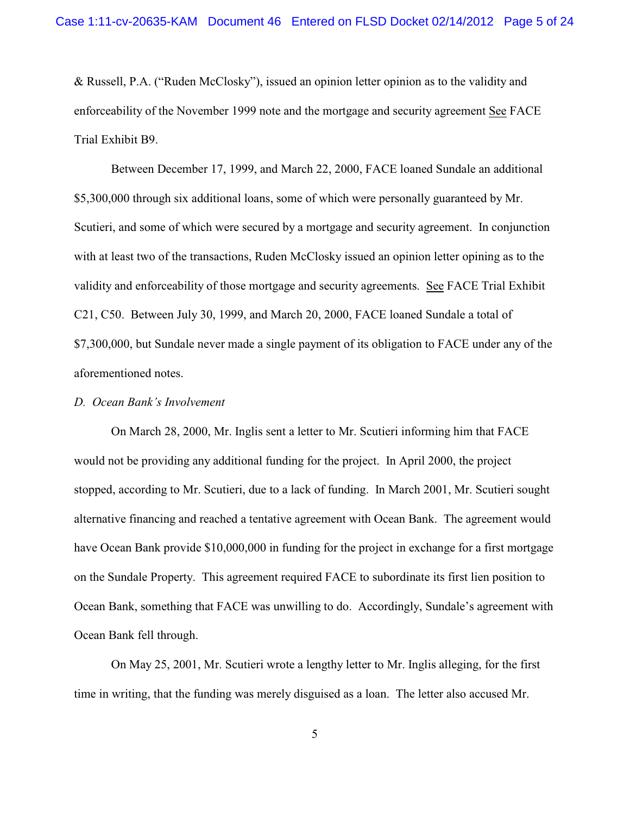& Russell, P.A. ("Ruden McClosky"), issued an opinion letter opinion as to the validity and enforceability of the November 1999 note and the mortgage and security agreement See FACE Trial Exhibit B9.

Between December 17, 1999, and March 22, 2000, FACE loaned Sundale an additional \$5,300,000 through six additional loans, some of which were personally guaranteed by Mr. Scutieri, and some of which were secured by a mortgage and security agreement. In conjunction with at least two of the transactions, Ruden McClosky issued an opinion letter opining as to the validity and enforceability of those mortgage and security agreements. See FACE Trial Exhibit C21, C50. Between July 30, 1999, and March 20, 2000, FACE loaned Sundale a total of \$7,300,000, but Sundale never made a single payment of its obligation to FACE under any of the aforementioned notes.

### *D. Ocean Bank's Involvement*

On March 28, 2000, Mr. Inglis sent a letter to Mr. Scutieri informing him that FACE would not be providing any additional funding for the project. In April 2000, the project stopped, according to Mr. Scutieri, due to a lack of funding. In March 2001, Mr. Scutieri sought alternative financing and reached a tentative agreement with Ocean Bank. The agreement would have Ocean Bank provide \$10,000,000 in funding for the project in exchange for a first mortgage on the Sundale Property. This agreement required FACE to subordinate its first lien position to Ocean Bank, something that FACE was unwilling to do. Accordingly, Sundale's agreement with Ocean Bank fell through.

On May 25, 2001, Mr. Scutieri wrote a lengthy letter to Mr. Inglis alleging, for the first time in writing, that the funding was merely disguised as a loan. The letter also accused Mr.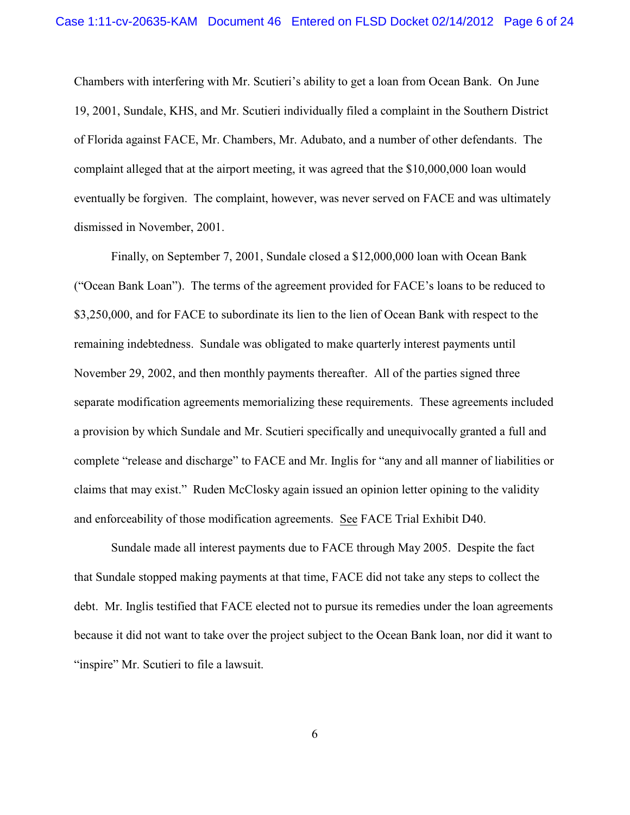Chambers with interfering with Mr. Scutieri's ability to get a loan from Ocean Bank. On June 19, 2001, Sundale, KHS, and Mr. Scutieri individually filed a complaint in the Southern District of Florida against FACE, Mr. Chambers, Mr. Adubato, and a number of other defendants. The complaint alleged that at the airport meeting, it was agreed that the \$10,000,000 loan would eventually be forgiven. The complaint, however, was never served on FACE and was ultimately dismissed in November, 2001.

Finally, on September 7, 2001, Sundale closed a \$12,000,000 loan with Ocean Bank ("Ocean Bank Loan"). The terms of the agreement provided for FACE's loans to be reduced to \$3,250,000, and for FACE to subordinate its lien to the lien of Ocean Bank with respect to the remaining indebtedness. Sundale was obligated to make quarterly interest payments until November 29, 2002, and then monthly payments thereafter. All of the parties signed three separate modification agreements memorializing these requirements. These agreements included a provision by which Sundale and Mr. Scutieri specifically and unequivocally granted a full and complete "release and discharge" to FACE and Mr. Inglis for "any and all manner of liabilities or claims that may exist." Ruden McClosky again issued an opinion letter opining to the validity and enforceability of those modification agreements. See FACE Trial Exhibit D40.

Sundale made all interest payments due to FACE through May 2005. Despite the fact that Sundale stopped making payments at that time, FACE did not take any steps to collect the debt. Mr. Inglis testified that FACE elected not to pursue its remedies under the loan agreements because it did not want to take over the project subject to the Ocean Bank loan, nor did it want to "inspire" Mr. Scutieri to file a lawsuit.

6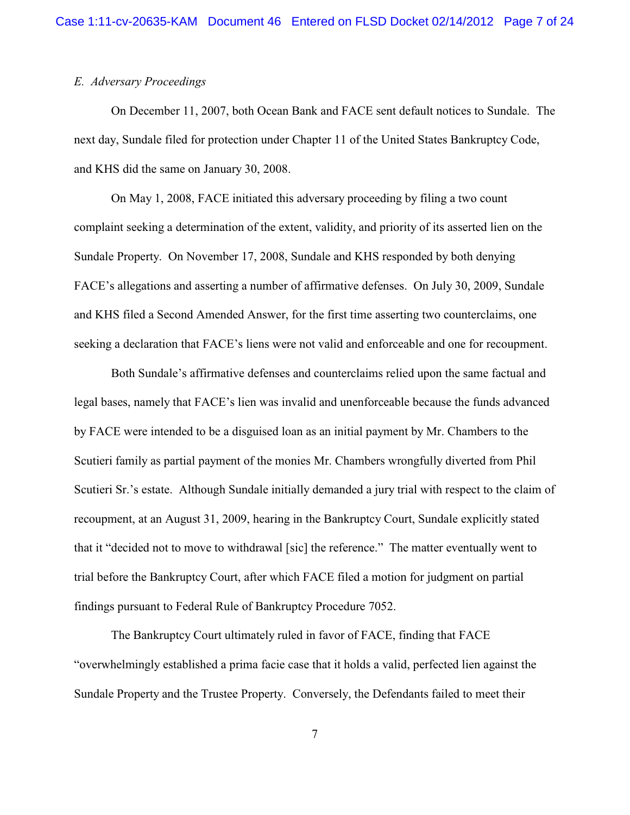### *E. Adversary Proceedings*

On December 11, 2007, both Ocean Bank and FACE sent default notices to Sundale. The next day, Sundale filed for protection under Chapter 11 of the United States Bankruptcy Code, and KHS did the same on January 30, 2008.

On May 1, 2008, FACE initiated this adversary proceeding by filing a two count complaint seeking a determination of the extent, validity, and priority of its asserted lien on the Sundale Property. On November 17, 2008, Sundale and KHS responded by both denying FACE's allegations and asserting a number of affirmative defenses. On July 30, 2009, Sundale and KHS filed a Second Amended Answer, for the first time asserting two counterclaims, one seeking a declaration that FACE's liens were not valid and enforceable and one for recoupment.

Both Sundale's affirmative defenses and counterclaims relied upon the same factual and legal bases, namely that FACE's lien was invalid and unenforceable because the funds advanced by FACE were intended to be a disguised loan as an initial payment by Mr. Chambers to the Scutieri family as partial payment of the monies Mr. Chambers wrongfully diverted from Phil Scutieri Sr.'s estate. Although Sundale initially demanded a jury trial with respect to the claim of recoupment, at an August 31, 2009, hearing in the Bankruptcy Court, Sundale explicitly stated that it "decided not to move to withdrawal [sic] the reference." The matter eventually went to trial before the Bankruptcy Court, after which FACE filed a motion for judgment on partial findings pursuant to Federal Rule of Bankruptcy Procedure 7052.

The Bankruptcy Court ultimately ruled in favor of FACE, finding that FACE "overwhelmingly established a prima facie case that it holds a valid, perfected lien against the Sundale Property and the Trustee Property. Conversely, the Defendants failed to meet their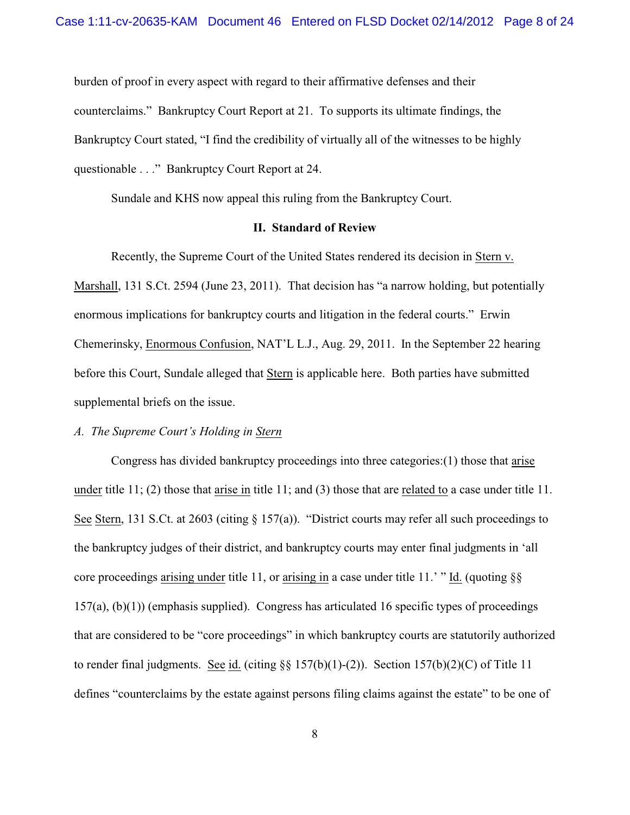burden of proof in every aspect with regard to their affirmative defenses and their counterclaims." Bankruptcy Court Report at 21. To supports its ultimate findings, the Bankruptcy Court stated, "I find the credibility of virtually all of the witnesses to be highly questionable . . ." Bankruptcy Court Report at 24.

Sundale and KHS now appeal this ruling from the Bankruptcy Court.

## **II. Standard of Review**

Recently, the Supreme Court of the United States rendered its decision in Stern v. Marshall, 131 S.Ct. 2594 (June 23, 2011). That decision has "a narrow holding, but potentially enormous implications for bankruptcy courts and litigation in the federal courts." Erwin Chemerinsky, Enormous Confusion, NAT'L L.J., Aug. 29, 2011. In the September 22 hearing before this Court, Sundale alleged that Stern is applicable here. Both parties have submitted supplemental briefs on the issue.

### *A. The Supreme Court's Holding in Stern*

Congress has divided bankruptcy proceedings into three categories:(1) those that arise under title 11; (2) those that arise in title 11; and (3) those that are related to a case under title 11. See Stern, 131 S.Ct. at 2603 (citing § 157(a)). "District courts may refer all such proceedings to the bankruptcy judges of their district, and bankruptcy courts may enter final judgments in 'all core proceedings arising under title 11, or arising in a case under title 11.' " Id. (quoting §§ 157(a), (b)(1)) (emphasis supplied). Congress has articulated 16 specific types of proceedings that are considered to be "core proceedings" in which bankruptcy courts are statutorily authorized to render final judgments. See id. (citing  $\S$ § 157(b)(1)-(2)). Section 157(b)(2)(C) of Title 11 defines "counterclaims by the estate against persons filing claims against the estate" to be one of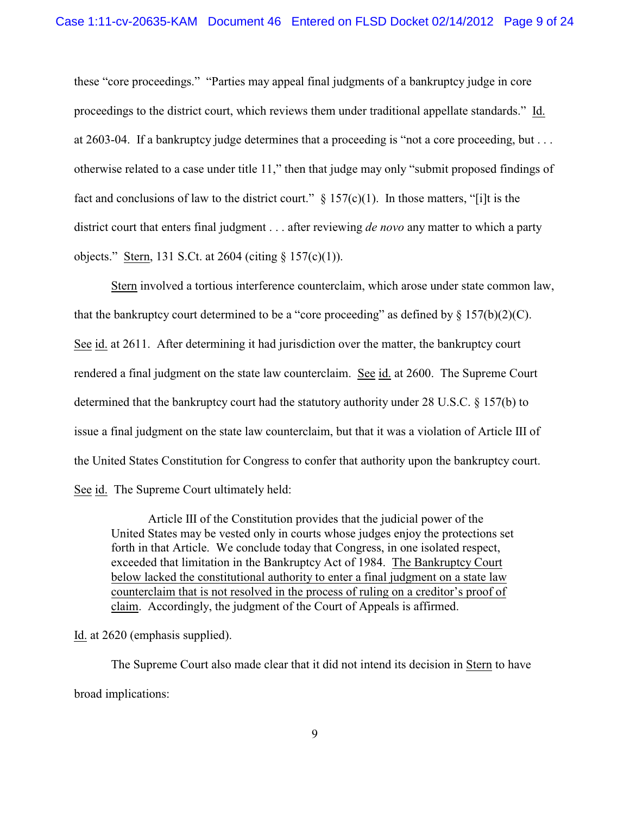these "core proceedings." "Parties may appeal final judgments of a bankruptcy judge in core proceedings to the district court, which reviews them under traditional appellate standards." Id. at 2603-04. If a bankruptcy judge determines that a proceeding is "not a core proceeding, but . . . otherwise related to a case under title 11," then that judge may only "submit proposed findings of fact and conclusions of law to the district court."  $\S 157(c)(1)$ . In those matters, "[i]t is the district court that enters final judgment . . . after reviewing *de novo* any matter to which a party objects." Stern, 131 S.Ct. at 2604 (citing § 157(c)(1)).

Stern involved a tortious interference counterclaim, which arose under state common law, that the bankruptcy court determined to be a "core proceeding" as defined by  $\S 157(b)(2)(C)$ . See id. at 2611. After determining it had jurisdiction over the matter, the bankruptcy court rendered a final judgment on the state law counterclaim. See id. at 2600. The Supreme Court determined that the bankruptcy court had the statutory authority under 28 U.S.C. § 157(b) to issue a final judgment on the state law counterclaim, but that it was a violation of Article III of the United States Constitution for Congress to confer that authority upon the bankruptcy court. See id. The Supreme Court ultimately held:

Article III of the Constitution provides that the judicial power of the United States may be vested only in courts whose judges enjoy the protections set forth in that Article. We conclude today that Congress, in one isolated respect, exceeded that limitation in the Bankruptcy Act of 1984. The Bankruptcy Court below lacked the constitutional authority to enter a final judgment on a state law counterclaim that is not resolved in the process of ruling on a creditor's proof of claim. Accordingly, the judgment of the Court of Appeals is affirmed.

Id. at 2620 (emphasis supplied).

The Supreme Court also made clear that it did not intend its decision in Stern to have broad implications: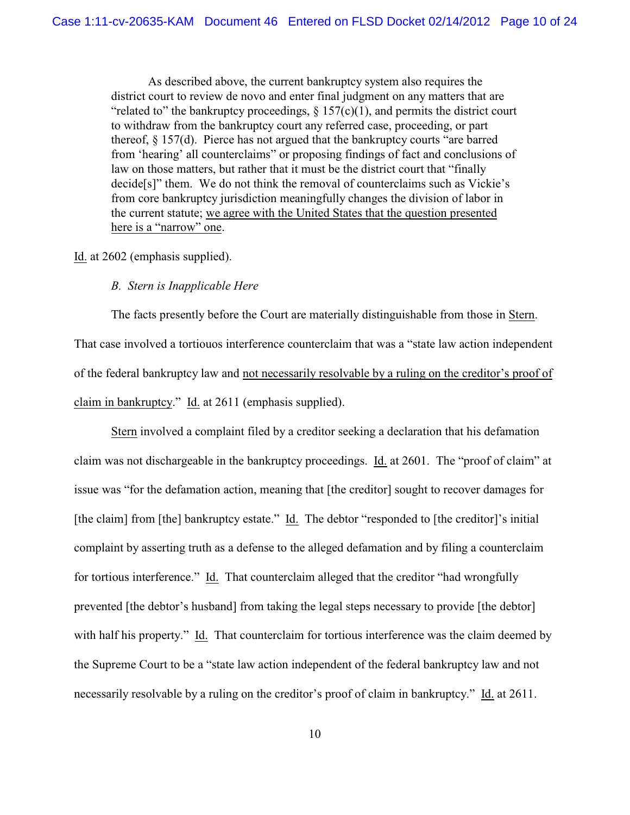As described above, the current bankruptcy system also requires the district court to review de novo and enter final judgment on any matters that are "related to" the bankruptcy proceedings,  $\S 157(c)(1)$ , and permits the district court to withdraw from the bankruptcy court any referred case, proceeding, or part thereof, § 157(d). Pierce has not argued that the bankruptcy courts "are barred from 'hearing' all counterclaims" or proposing findings of fact and conclusions of law on those matters, but rather that it must be the district court that "finally decide[s]" them. We do not think the removal of counterclaims such as Vickie's from core bankruptcy jurisdiction meaningfully changes the division of labor in the current statute; we agree with the United States that the question presented here is a "narrow" one.

### Id. at 2602 (emphasis supplied).

### *B. Stern is Inapplicable Here*

The facts presently before the Court are materially distinguishable from those in Stern. That case involved a tortiouos interference counterclaim that was a "state law action independent of the federal bankruptcy law and not necessarily resolvable by a ruling on the creditor's proof of claim in bankruptcy." Id. at 2611 (emphasis supplied).

Stern involved a complaint filed by a creditor seeking a declaration that his defamation claim was not dischargeable in the bankruptcy proceedings. Id. at 2601. The "proof of claim" at issue was "for the defamation action, meaning that [the creditor] sought to recover damages for [the claim] from [the] bankruptcy estate." Id. The debtor "responded to [the creditor]'s initial complaint by asserting truth as a defense to the alleged defamation and by filing a counterclaim for tortious interference." Id. That counterclaim alleged that the creditor "had wrongfully prevented [the debtor's husband] from taking the legal steps necessary to provide [the debtor] with half his property." Id. That counterclaim for tortious interference was the claim deemed by the Supreme Court to be a "state law action independent of the federal bankruptcy law and not necessarily resolvable by a ruling on the creditor's proof of claim in bankruptcy." Id. at 2611.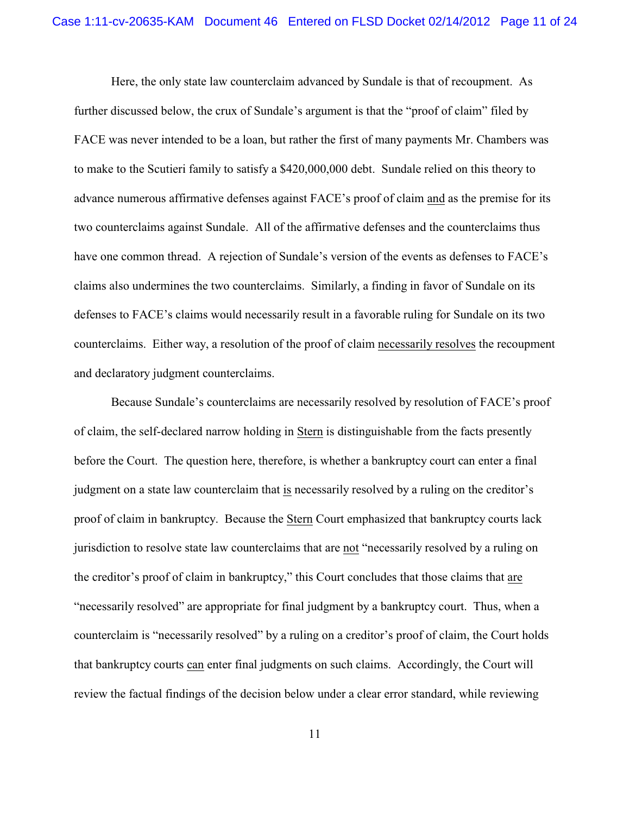Here, the only state law counterclaim advanced by Sundale is that of recoupment. As further discussed below, the crux of Sundale's argument is that the "proof of claim" filed by FACE was never intended to be a loan, but rather the first of many payments Mr. Chambers was to make to the Scutieri family to satisfy a \$420,000,000 debt. Sundale relied on this theory to advance numerous affirmative defenses against FACE's proof of claim and as the premise for its two counterclaims against Sundale. All of the affirmative defenses and the counterclaims thus have one common thread. A rejection of Sundale's version of the events as defenses to FACE's claims also undermines the two counterclaims. Similarly, a finding in favor of Sundale on its defenses to FACE's claims would necessarily result in a favorable ruling for Sundale on its two counterclaims. Either way, a resolution of the proof of claim necessarily resolves the recoupment and declaratory judgment counterclaims.

Because Sundale's counterclaims are necessarily resolved by resolution of FACE's proof of claim, the self-declared narrow holding in Stern is distinguishable from the facts presently before the Court. The question here, therefore, is whether a bankruptcy court can enter a final judgment on a state law counterclaim that is necessarily resolved by a ruling on the creditor's proof of claim in bankruptcy. Because the Stern Court emphasized that bankruptcy courts lack jurisdiction to resolve state law counterclaims that are not "necessarily resolved by a ruling on the creditor's proof of claim in bankruptcy," this Court concludes that those claims that are "necessarily resolved" are appropriate for final judgment by a bankruptcy court. Thus, when a counterclaim is "necessarily resolved" by a ruling on a creditor's proof of claim, the Court holds that bankruptcy courts can enter final judgments on such claims. Accordingly, the Court will review the factual findings of the decision below under a clear error standard, while reviewing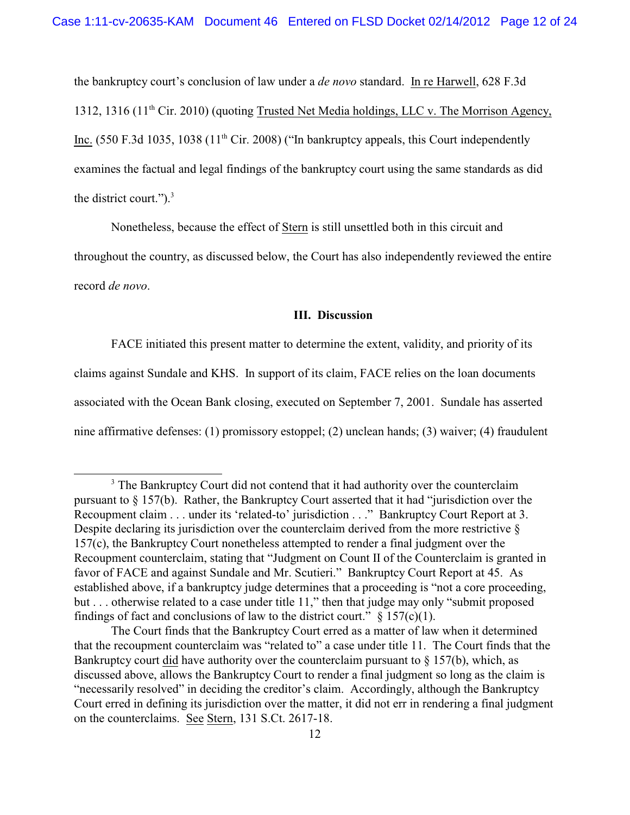the bankruptcy court's conclusion of law under a *de novo* standard. In re Harwell, 628 F.3d 1312, 1316 (11<sup>th</sup> Cir. 2010) (quoting Trusted Net Media holdings, LLC v. The Morrison Agency, Inc. (550 F.3d 1035, 1038 (11<sup>th</sup> Cir. 2008) ("In bankruptcy appeals, this Court independently examines the factual and legal findings of the bankruptcy court using the same standards as did the district court." $)^3$ .

Nonetheless, because the effect of Stern is still unsettled both in this circuit and throughout the country, as discussed below, the Court has also independently reviewed the entire record *de novo*.

### **III. Discussion**

FACE initiated this present matter to determine the extent, validity, and priority of its claims against Sundale and KHS. In support of its claim, FACE relies on the loan documents associated with the Ocean Bank closing, executed on September 7, 2001. Sundale has asserted nine affirmative defenses: (1) promissory estoppel; (2) unclean hands; (3) waiver; (4) fraudulent

<sup>&</sup>lt;sup>3</sup> The Bankruptcy Court did not contend that it had authority over the counterclaim pursuant to § 157(b). Rather, the Bankruptcy Court asserted that it had "jurisdiction over the Recoupment claim . . . under its 'related-to' jurisdiction . . ." Bankruptcy Court Report at 3. Despite declaring its jurisdiction over the counterclaim derived from the more restrictive  $\delta$ 157(c), the Bankruptcy Court nonetheless attempted to render a final judgment over the Recoupment counterclaim, stating that "Judgment on Count II of the Counterclaim is granted in favor of FACE and against Sundale and Mr. Scutieri." Bankruptcy Court Report at 45. As established above, if a bankruptcy judge determines that a proceeding is "not a core proceeding, but . . . otherwise related to a case under title 11," then that judge may only "submit proposed findings of fact and conclusions of law to the district court."  $\S$  157(c)(1).

The Court finds that the Bankruptcy Court erred as a matter of law when it determined that the recoupment counterclaim was "related to" a case under title 11. The Court finds that the Bankruptcy court did have authority over the counterclaim pursuant to  $\S$  157(b), which, as discussed above, allows the Bankruptcy Court to render a final judgment so long as the claim is "necessarily resolved" in deciding the creditor's claim. Accordingly, although the Bankruptcy Court erred in defining its jurisdiction over the matter, it did not err in rendering a final judgment on the counterclaims. See Stern, 131 S.Ct. 2617-18.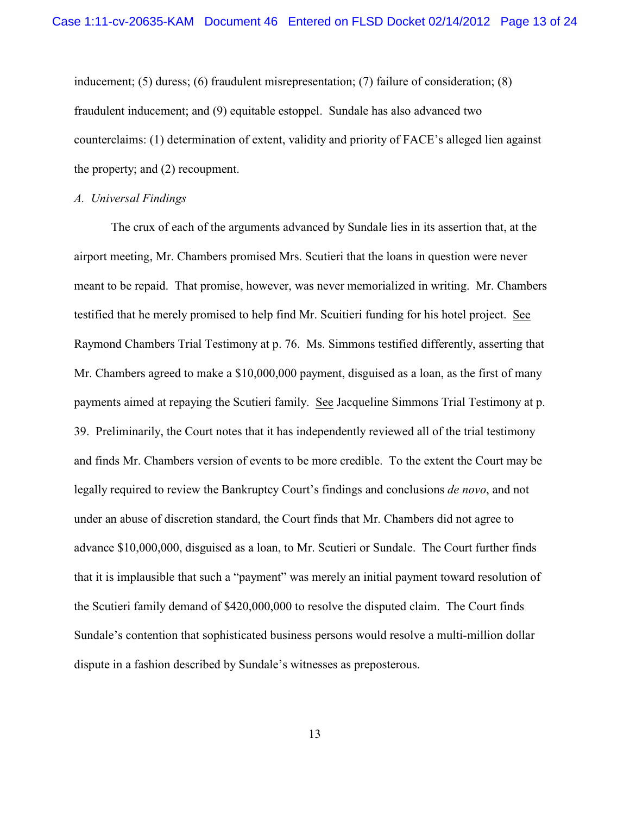inducement; (5) duress; (6) fraudulent misrepresentation; (7) failure of consideration; (8) fraudulent inducement; and (9) equitable estoppel. Sundale has also advanced two counterclaims: (1) determination of extent, validity and priority of FACE's alleged lien against the property; and (2) recoupment.

### *A. Universal Findings*

The crux of each of the arguments advanced by Sundale lies in its assertion that, at the airport meeting, Mr. Chambers promised Mrs. Scutieri that the loans in question were never meant to be repaid. That promise, however, was never memorialized in writing. Mr. Chambers testified that he merely promised to help find Mr. Scuitieri funding for his hotel project. See Raymond Chambers Trial Testimony at p. 76. Ms. Simmons testified differently, asserting that Mr. Chambers agreed to make a \$10,000,000 payment, disguised as a loan, as the first of many payments aimed at repaying the Scutieri family. See Jacqueline Simmons Trial Testimony at p. 39. Preliminarily, the Court notes that it has independently reviewed all of the trial testimony and finds Mr. Chambers version of events to be more credible. To the extent the Court may be legally required to review the Bankruptcy Court's findings and conclusions *de novo*, and not under an abuse of discretion standard, the Court finds that Mr. Chambers did not agree to advance \$10,000,000, disguised as a loan, to Mr. Scutieri or Sundale. The Court further finds that it is implausible that such a "payment" was merely an initial payment toward resolution of the Scutieri family demand of \$420,000,000 to resolve the disputed claim. The Court finds Sundale's contention that sophisticated business persons would resolve a multi-million dollar dispute in a fashion described by Sundale's witnesses as preposterous.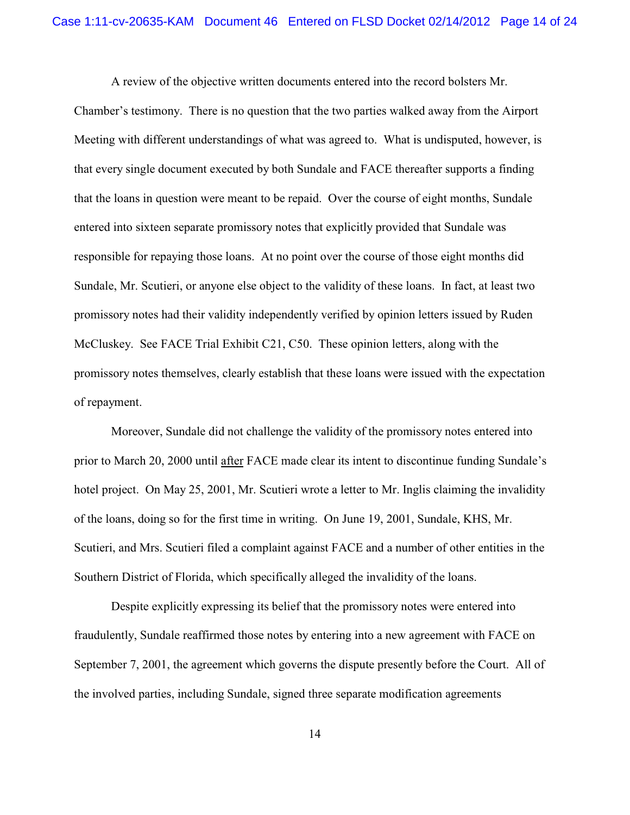A review of the objective written documents entered into the record bolsters Mr.

Chamber's testimony. There is no question that the two parties walked away from the Airport Meeting with different understandings of what was agreed to. What is undisputed, however, is that every single document executed by both Sundale and FACE thereafter supports a finding that the loans in question were meant to be repaid. Over the course of eight months, Sundale entered into sixteen separate promissory notes that explicitly provided that Sundale was responsible for repaying those loans. At no point over the course of those eight months did Sundale, Mr. Scutieri, or anyone else object to the validity of these loans. In fact, at least two promissory notes had their validity independently verified by opinion letters issued by Ruden McCluskey. See FACE Trial Exhibit C21, C50. These opinion letters, along with the promissory notes themselves, clearly establish that these loans were issued with the expectation of repayment.

Moreover, Sundale did not challenge the validity of the promissory notes entered into prior to March 20, 2000 until after FACE made clear its intent to discontinue funding Sundale's hotel project. On May 25, 2001, Mr. Scutieri wrote a letter to Mr. Inglis claiming the invalidity of the loans, doing so for the first time in writing. On June 19, 2001, Sundale, KHS, Mr. Scutieri, and Mrs. Scutieri filed a complaint against FACE and a number of other entities in the Southern District of Florida, which specifically alleged the invalidity of the loans.

Despite explicitly expressing its belief that the promissory notes were entered into fraudulently, Sundale reaffirmed those notes by entering into a new agreement with FACE on September 7, 2001, the agreement which governs the dispute presently before the Court. All of the involved parties, including Sundale, signed three separate modification agreements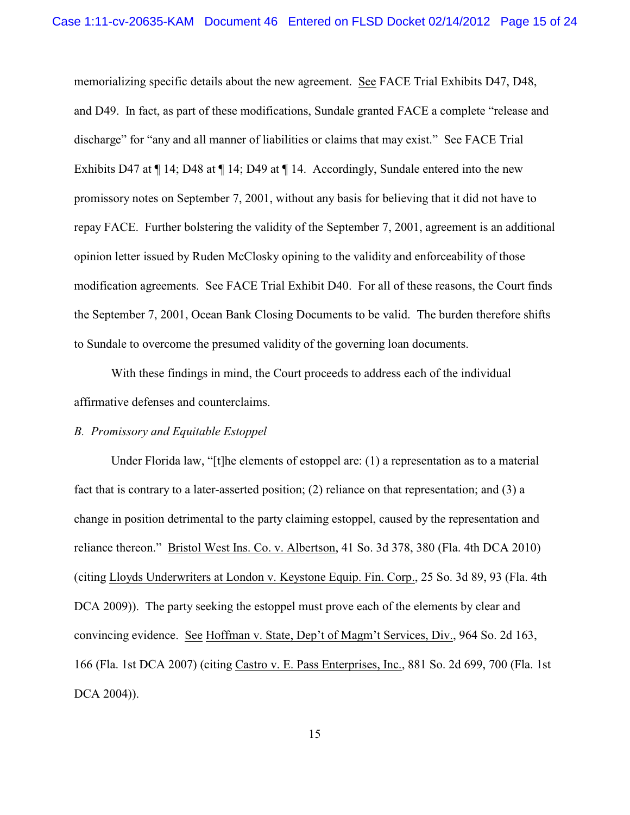memorializing specific details about the new agreement. See FACE Trial Exhibits D47, D48, and D49. In fact, as part of these modifications, Sundale granted FACE a complete "release and discharge" for "any and all manner of liabilities or claims that may exist." See FACE Trial Exhibits D47 at ¶ 14; D48 at ¶ 14; D49 at ¶ 14. Accordingly, Sundale entered into the new promissory notes on September 7, 2001, without any basis for believing that it did not have to repay FACE. Further bolstering the validity of the September 7, 2001, agreement is an additional opinion letter issued by Ruden McClosky opining to the validity and enforceability of those modification agreements. See FACE Trial Exhibit D40. For all of these reasons, the Court finds the September 7, 2001, Ocean Bank Closing Documents to be valid. The burden therefore shifts to Sundale to overcome the presumed validity of the governing loan documents.

With these findings in mind, the Court proceeds to address each of the individual affirmative defenses and counterclaims.

### *B. Promissory and Equitable Estoppel*

Under Florida law, "[t]he elements of estoppel are: (1) a representation as to a material fact that is contrary to a later-asserted position; (2) reliance on that representation; and (3) a change in position detrimental to the party claiming estoppel, caused by the representation and reliance thereon." Bristol West Ins. Co. v. Albertson, 41 So. 3d 378, 380 (Fla. 4th DCA 2010) (citing Lloyds Underwriters at London v. Keystone Equip. Fin. Corp., 25 So. 3d 89, 93 (Fla. 4th DCA 2009)). The party seeking the estoppel must prove each of the elements by clear and convincing evidence. See Hoffman v. State, Dep't of Magm't Services, Div., 964 So. 2d 163, 166 (Fla. 1st DCA 2007) (citing Castro v. E. Pass Enterprises, Inc., 881 So. 2d 699, 700 (Fla. 1st DCA 2004)).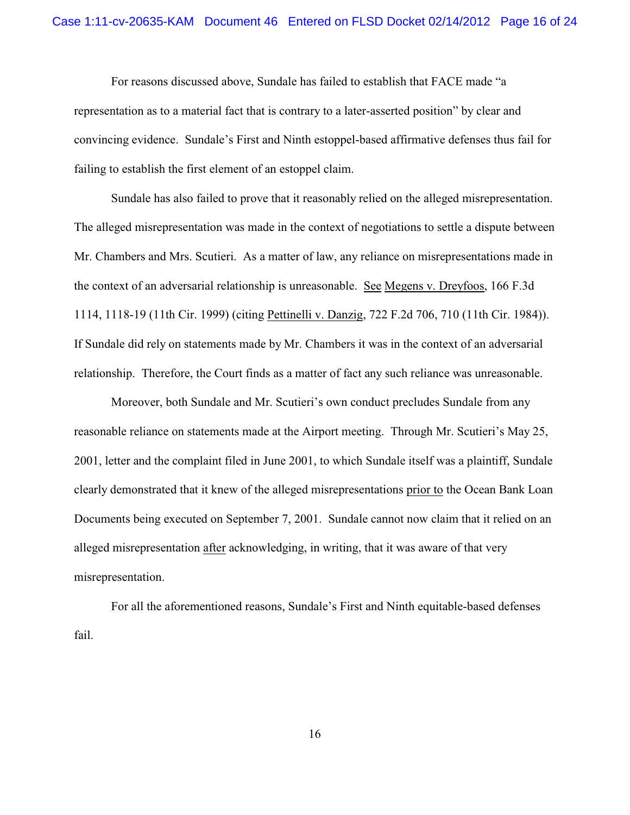For reasons discussed above, Sundale has failed to establish that FACE made "a representation as to a material fact that is contrary to a later-asserted position" by clear and convincing evidence. Sundale's First and Ninth estoppel-based affirmative defenses thus fail for failing to establish the first element of an estoppel claim.

Sundale has also failed to prove that it reasonably relied on the alleged misrepresentation. The alleged misrepresentation was made in the context of negotiations to settle a dispute between Mr. Chambers and Mrs. Scutieri. As a matter of law, any reliance on misrepresentations made in the context of an adversarial relationship is unreasonable. See Megens v. Dreyfoos, 166 F.3d 1114, 1118-19 (11th Cir. 1999) (citing Pettinelli v. Danzig, 722 F.2d 706, 710 (11th Cir. 1984)). If Sundale did rely on statements made by Mr. Chambers it was in the context of an adversarial relationship. Therefore, the Court finds as a matter of fact any such reliance was unreasonable.

Moreover, both Sundale and Mr. Scutieri's own conduct precludes Sundale from any reasonable reliance on statements made at the Airport meeting. Through Mr. Scutieri's May 25, 2001, letter and the complaint filed in June 2001, to which Sundale itself was a plaintiff, Sundale clearly demonstrated that it knew of the alleged misrepresentations prior to the Ocean Bank Loan Documents being executed on September 7, 2001. Sundale cannot now claim that it relied on an alleged misrepresentation after acknowledging, in writing, that it was aware of that very misrepresentation.

For all the aforementioned reasons, Sundale's First and Ninth equitable-based defenses fail.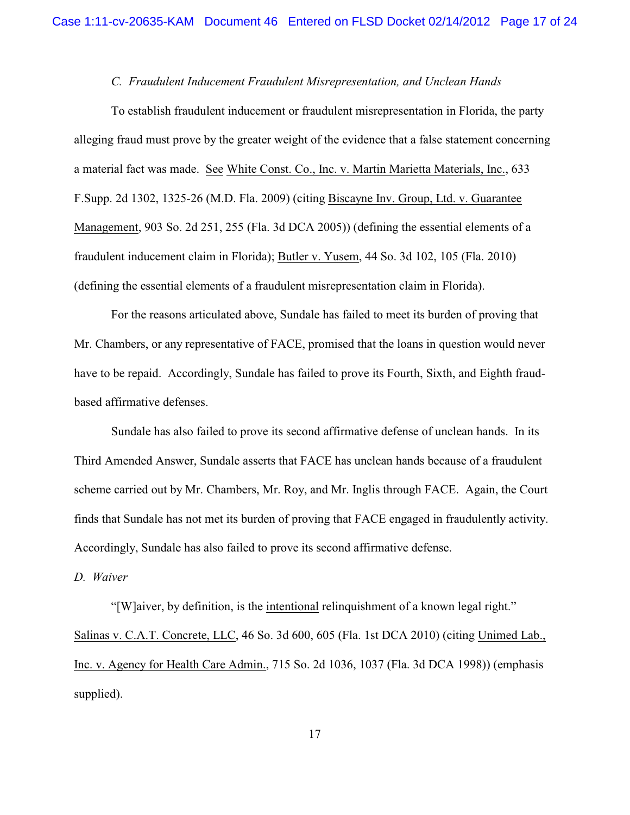### *C. Fraudulent Inducement Fraudulent Misrepresentation, and Unclean Hands*

To establish fraudulent inducement or fraudulent misrepresentation in Florida, the party alleging fraud must prove by the greater weight of the evidence that a false statement concerning a material fact was made. See White Const. Co., Inc. v. Martin Marietta Materials, Inc., 633 F.Supp. 2d 1302, 1325-26 (M.D. Fla. 2009) (citing Biscayne Inv. Group, Ltd. v. Guarantee Management, 903 So. 2d 251, 255 (Fla. 3d DCA 2005)) (defining the essential elements of a fraudulent inducement claim in Florida); Butler v. Yusem, 44 So. 3d 102, 105 (Fla. 2010) (defining the essential elements of a fraudulent misrepresentation claim in Florida).

For the reasons articulated above, Sundale has failed to meet its burden of proving that Mr. Chambers, or any representative of FACE, promised that the loans in question would never have to be repaid. Accordingly, Sundale has failed to prove its Fourth, Sixth, and Eighth fraudbased affirmative defenses.

Sundale has also failed to prove its second affirmative defense of unclean hands. In its Third Amended Answer, Sundale asserts that FACE has unclean hands because of a fraudulent scheme carried out by Mr. Chambers, Mr. Roy, and Mr. Inglis through FACE. Again, the Court finds that Sundale has not met its burden of proving that FACE engaged in fraudulently activity. Accordingly, Sundale has also failed to prove its second affirmative defense.

## *D. Waiver*

"[W]aiver, by definition, is the intentional relinquishment of a known legal right." Salinas v. C.A.T. Concrete, LLC, 46 So. 3d 600, 605 (Fla. 1st DCA 2010) (citing Unimed Lab., Inc. v. Agency for Health Care Admin., 715 So. 2d 1036, 1037 (Fla. 3d DCA 1998)) (emphasis supplied).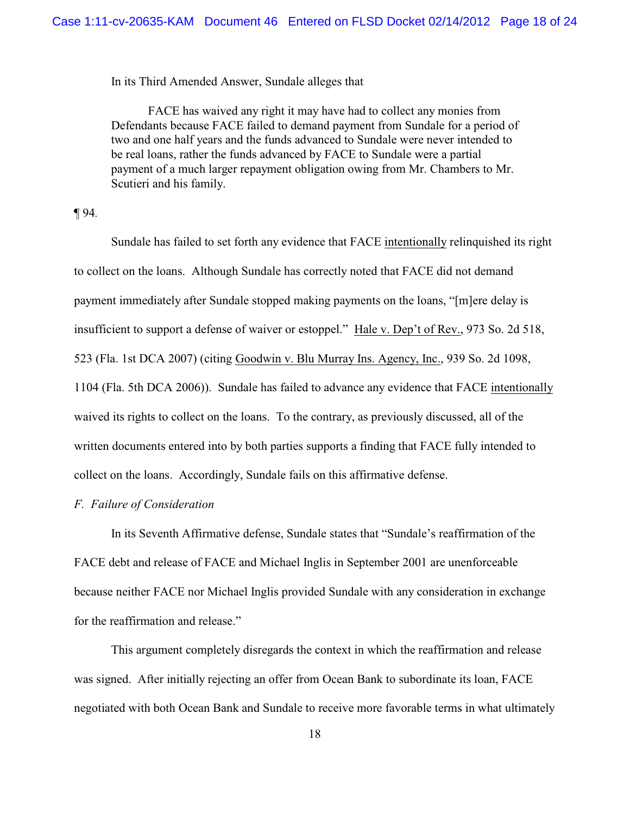In its Third Amended Answer, Sundale alleges that

FACE has waived any right it may have had to collect any monies from Defendants because FACE failed to demand payment from Sundale for a period of two and one half years and the funds advanced to Sundale were never intended to be real loans, rather the funds advanced by FACE to Sundale were a partial payment of a much larger repayment obligation owing from Mr. Chambers to Mr. Scutieri and his family.

### ¶ 94*.*

Sundale has failed to set forth any evidence that FACE intentionally relinquished its right to collect on the loans.Although Sundale has correctly noted that FACE did not demand payment immediately after Sundale stopped making payments on the loans, "[m]ere delay is insufficient to support a defense of waiver or estoppel." Hale v. Dep't of Rev., 973 So. 2d 518, 523 (Fla. 1st DCA 2007) (citing Goodwin v. Blu Murray Ins. Agency, Inc., 939 So. 2d 1098, 1104 (Fla. 5th DCA 2006)). Sundale has failed to advance any evidence that FACE intentionally waived its rights to collect on the loans. To the contrary, as previously discussed, all of the written documents entered into by both parties supports a finding that FACE fully intended to collect on the loans. Accordingly, Sundale fails on this affirmative defense.

## *F. Failure of Consideration*

In its Seventh Affirmative defense, Sundale states that "Sundale's reaffirmation of the FACE debt and release of FACE and Michael Inglis in September 2001 are unenforceable because neither FACE nor Michael Inglis provided Sundale with any consideration in exchange for the reaffirmation and release."

This argument completely disregards the context in which the reaffirmation and release was signed. After initially rejecting an offer from Ocean Bank to subordinate its loan, FACE negotiated with both Ocean Bank and Sundale to receive more favorable terms in what ultimately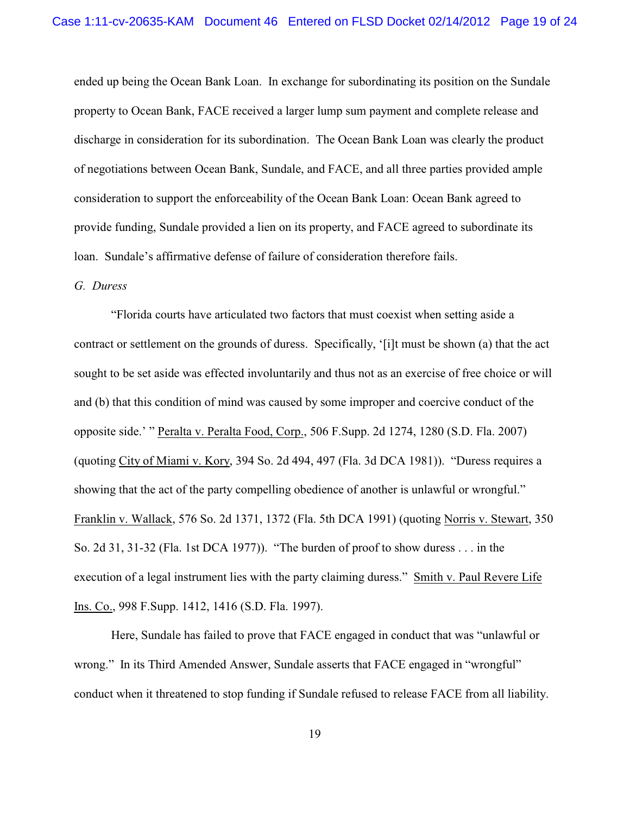ended up being the Ocean Bank Loan. In exchange for subordinating its position on the Sundale property to Ocean Bank, FACE received a larger lump sum payment and complete release and discharge in consideration for its subordination. The Ocean Bank Loan was clearly the product of negotiations between Ocean Bank, Sundale, and FACE, and all three parties provided ample consideration to support the enforceability of the Ocean Bank Loan: Ocean Bank agreed to provide funding, Sundale provided a lien on its property, and FACE agreed to subordinate its loan. Sundale's affirmative defense of failure of consideration therefore fails.

### *G. Duress*

"Florida courts have articulated two factors that must coexist when setting aside a contract or settlement on the grounds of duress. Specifically, '[i]t must be shown (a) that the act sought to be set aside was effected involuntarily and thus not as an exercise of free choice or will and (b) that this condition of mind was caused by some improper and coercive conduct of the opposite side.' " Peralta v. Peralta Food, Corp., 506 F.Supp. 2d 1274, 1280 (S.D. Fla. 2007) (quoting City of Miami v. Kory, 394 So. 2d 494, 497 (Fla. 3d DCA 1981)). "Duress requires a showing that the act of the party compelling obedience of another is unlawful or wrongful." Franklin v. Wallack, 576 So. 2d 1371, 1372 (Fla. 5th DCA 1991) (quoting Norris v. Stewart, 350 So. 2d 31, 31-32 (Fla. 1st DCA 1977)). "The burden of proof to show duress . . . in the execution of a legal instrument lies with the party claiming duress." Smith v. Paul Revere Life Ins. Co., 998 F.Supp. 1412, 1416 (S.D. Fla. 1997).

Here, Sundale has failed to prove that FACE engaged in conduct that was "unlawful or wrong." In its Third Amended Answer, Sundale asserts that FACE engaged in "wrongful" conduct when it threatened to stop funding if Sundale refused to release FACE from all liability.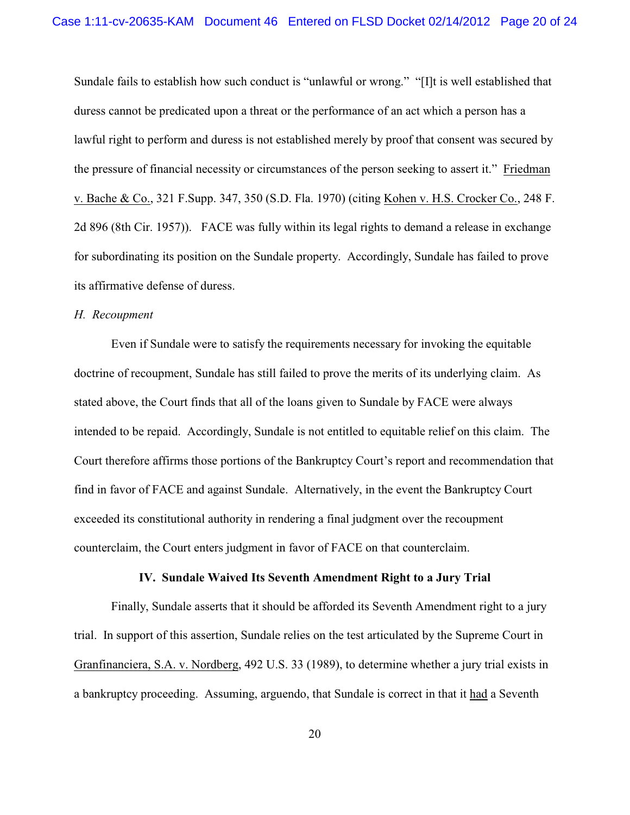Sundale fails to establish how such conduct is "unlawful or wrong." "[I]t is well established that duress cannot be predicated upon a threat or the performance of an act which a person has a lawful right to perform and duress is not established merely by proof that consent was secured by the pressure of financial necessity or circumstances of the person seeking to assert it." Friedman v. Bache & Co., 321 F.Supp. 347, 350 (S.D. Fla. 1970) (citing Kohen v. H.S. Crocker Co., 248 F. 2d 896 (8th Cir. 1957)). FACE was fully within its legal rights to demand a release in exchange for subordinating its position on the Sundale property. Accordingly, Sundale has failed to prove its affirmative defense of duress.

#### *H. Recoupment*

Even if Sundale were to satisfy the requirements necessary for invoking the equitable doctrine of recoupment, Sundale has still failed to prove the merits of its underlying claim. As stated above, the Court finds that all of the loans given to Sundale by FACE were always intended to be repaid. Accordingly, Sundale is not entitled to equitable relief on this claim. The Court therefore affirms those portions of the Bankruptcy Court's report and recommendation that find in favor of FACE and against Sundale. Alternatively, in the event the Bankruptcy Court exceeded its constitutional authority in rendering a final judgment over the recoupment counterclaim, the Court enters judgment in favor of FACE on that counterclaim.

# **IV. Sundale Waived Its Seventh Amendment Right to a Jury Trial**

Finally, Sundale asserts that it should be afforded its Seventh Amendment right to a jury trial. In support of this assertion, Sundale relies on the test articulated by the Supreme Court in Granfinanciera, S.A. v. Nordberg, 492 U.S. 33 (1989), to determine whether a jury trial exists in a bankruptcy proceeding. Assuming, arguendo, that Sundale is correct in that it had a Seventh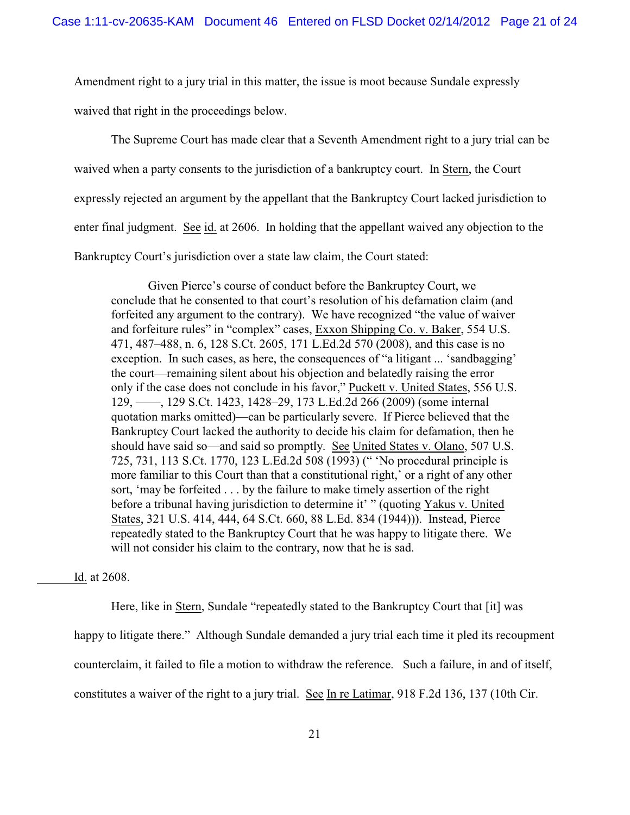Amendment right to a jury trial in this matter, the issue is moot because Sundale expressly

waived that right in the proceedings below.

The Supreme Court has made clear that a Seventh Amendment right to a jury trial can be waived when a party consents to the jurisdiction of a bankruptcy court. In Stern, the Court expressly rejected an argument by the appellant that the Bankruptcy Court lacked jurisdiction to enter final judgment. See id. at 2606. In holding that the appellant waived any objection to the Bankruptcy Court's jurisdiction over a state law claim, the Court stated:

Given Pierce's course of conduct before the Bankruptcy Court, we conclude that he consented to that court's resolution of his defamation claim (and forfeited any argument to the contrary). We have recognized "the value of waiver and forfeiture rules" in "complex" cases, Exxon Shipping Co. v. Baker, 554 U.S. 471, 487–488, n. 6, 128 S.Ct. 2605, 171 L.Ed.2d 570 (2008), and this case is no exception. In such cases, as here, the consequences of "a litigant ... 'sandbagging' the court—remaining silent about his objection and belatedly raising the error only if the case does not conclude in his favor," Puckett v. United States, 556 U.S. 129, ––––, 129 S.Ct. 1423, 1428–29, 173 L.Ed.2d 266 (2009) (some internal quotation marks omitted)—can be particularly severe. If Pierce believed that the Bankruptcy Court lacked the authority to decide his claim for defamation, then he should have said so—and said so promptly. See United States v. Olano, 507 U.S. 725, 731, 113 S.Ct. 1770, 123 L.Ed.2d 508 (1993) (" 'No procedural principle is more familiar to this Court than that a constitutional right,' or a right of any other sort, 'may be forfeited . . . by the failure to make timely assertion of the right before a tribunal having jurisdiction to determine it' " (quoting Yakus v. United States, 321 U.S. 414, 444, 64 S.Ct. 660, 88 L.Ed. 834 (1944))). Instead, Pierce repeatedly stated to the Bankruptcy Court that he was happy to litigate there. We will not consider his claim to the contrary, now that he is sad.

Id. at 2608.

Here, like in Stern, Sundale "repeatedly stated to the Bankruptcy Court that [it] was happy to litigate there." Although Sundale demanded a jury trial each time it pled its recoupment counterclaim, it failed to file a motion to withdraw the reference. Such a failure, in and of itself, constitutes a waiver of the right to a jury trial. See In re Latimar, 918 F.2d 136, 137 (10th Cir.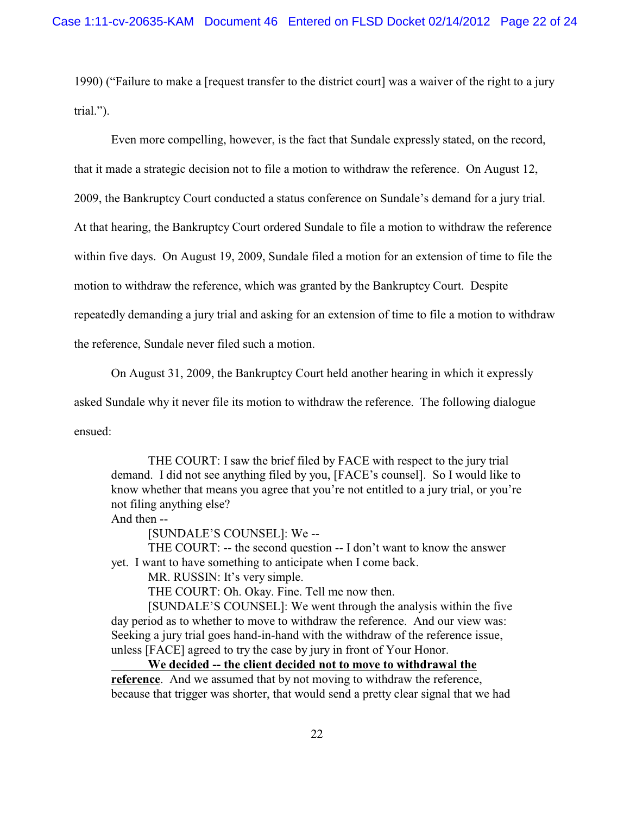1990) ("Failure to make a [request transfer to the district court] was a waiver of the right to a jury trial.").

Even more compelling, however, is the fact that Sundale expressly stated, on the record,

that it made a strategic decision not to file a motion to withdraw the reference. On August 12,

2009, the Bankruptcy Court conducted a status conference on Sundale's demand for a jury trial.

At that hearing, the Bankruptcy Court ordered Sundale to file a motion to withdraw the reference

within five days. On August 19, 2009, Sundale filed a motion for an extension of time to file the

motion to withdraw the reference, which was granted by the Bankruptcy Court. Despite

repeatedly demanding a jury trial and asking for an extension of time to file a motion to withdraw

the reference, Sundale never filed such a motion.

On August 31, 2009, the Bankruptcy Court held another hearing in which it expressly

asked Sundale why it never file its motion to withdraw the reference. The following dialogue ensued:

THE COURT: I saw the brief filed by FACE with respect to the jury trial demand. I did not see anything filed by you, [FACE's counsel]. So I would like to know whether that means you agree that you're not entitled to a jury trial, or you're not filing anything else?

And then --

[SUNDALE'S COUNSEL]: We --

THE COURT: -- the second question -- I don't want to know the answer yet. I want to have something to anticipate when I come back.

MR. RUSSIN: It's very simple.

THE COURT: Oh. Okay. Fine. Tell me now then.

[SUNDALE'S COUNSEL]: We went through the analysis within the five day period as to whether to move to withdraw the reference. And our view was: Seeking a jury trial goes hand-in-hand with the withdraw of the reference issue, unless [FACE] agreed to try the case by jury in front of Your Honor.

**We decided -- the client decided not to move to withdrawal the reference**. And we assumed that by not moving to withdraw the reference, because that trigger was shorter, that would send a pretty clear signal that we had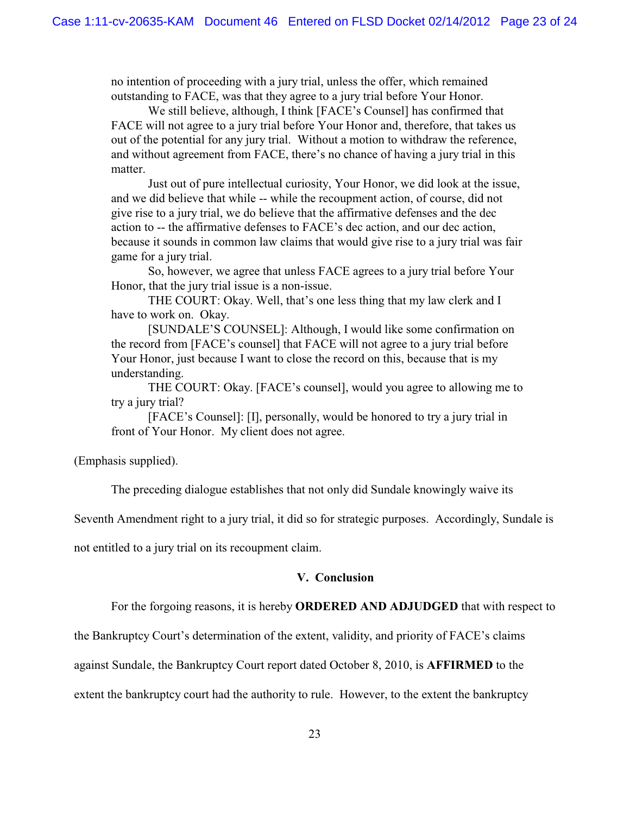no intention of proceeding with a jury trial, unless the offer, which remained outstanding to FACE, was that they agree to a jury trial before Your Honor.

We still believe, although, I think [FACE's Counsel] has confirmed that FACE will not agree to a jury trial before Your Honor and, therefore, that takes us out of the potential for any jury trial. Without a motion to withdraw the reference, and without agreement from FACE, there's no chance of having a jury trial in this matter.

Just out of pure intellectual curiosity, Your Honor, we did look at the issue, and we did believe that while -- while the recoupment action, of course, did not give rise to a jury trial, we do believe that the affirmative defenses and the dec action to -- the affirmative defenses to FACE's dec action, and our dec action, because it sounds in common law claims that would give rise to a jury trial was fair game for a jury trial.

So, however, we agree that unless FACE agrees to a jury trial before Your Honor, that the jury trial issue is a non-issue.

THE COURT: Okay. Well, that's one less thing that my law clerk and I have to work on. Okay.

[SUNDALE'S COUNSEL]: Although, I would like some confirmation on the record from [FACE's counsel] that FACE will not agree to a jury trial before Your Honor, just because I want to close the record on this, because that is my understanding.

THE COURT: Okay. [FACE's counsel], would you agree to allowing me to try a jury trial?

[FACE's Counsel]: [I], personally, would be honored to try a jury trial in front of Your Honor. My client does not agree.

(Emphasis supplied).

The preceding dialogue establishes that not only did Sundale knowingly waive its

Seventh Amendment right to a jury trial, it did so for strategic purposes. Accordingly, Sundale is

not entitled to a jury trial on its recoupment claim.

### **V. Conclusion**

For the forgoing reasons, it is hereby **ORDERED AND ADJUDGED** that with respect to

the Bankruptcy Court's determination of the extent, validity, and priority of FACE's claims

against Sundale, the Bankruptcy Court report dated October 8, 2010, is **AFFIRMED** to the

extent the bankruptcy court had the authority to rule. However, to the extent the bankruptcy